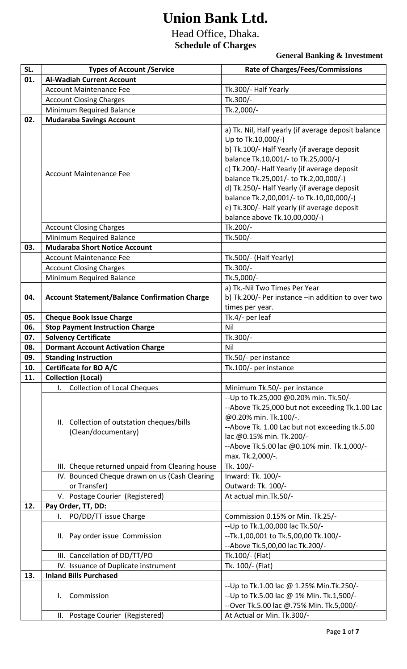## **Union Bank Ltd.**

## Head Office, Dhaka. **Schedule of Charges**

**General Banking & Investment**

| SL. | <b>Types of Account /Service</b>                                  | <b>Rate of Charges/Fees/Commissions</b>                                                                                                                                                                                                                                                                                                                                                                                            |
|-----|-------------------------------------------------------------------|------------------------------------------------------------------------------------------------------------------------------------------------------------------------------------------------------------------------------------------------------------------------------------------------------------------------------------------------------------------------------------------------------------------------------------|
| 01. | <b>Al-Wadiah Current Account</b>                                  |                                                                                                                                                                                                                                                                                                                                                                                                                                    |
|     | <b>Account Maintenance Fee</b>                                    | Tk.300/- Half Yearly                                                                                                                                                                                                                                                                                                                                                                                                               |
|     | <b>Account Closing Charges</b>                                    | Tk.300/-                                                                                                                                                                                                                                                                                                                                                                                                                           |
|     | Minimum Required Balance                                          | Tk.2,000/-                                                                                                                                                                                                                                                                                                                                                                                                                         |
| 02. | <b>Mudaraba Savings Account</b>                                   |                                                                                                                                                                                                                                                                                                                                                                                                                                    |
|     | <b>Account Maintenance Fee</b>                                    | a) Tk. Nil, Half yearly (if average deposit balance<br>Up to Tk.10,000/-)<br>b) Tk.100/- Half Yearly (if average deposit<br>balance Tk.10,001/- to Tk.25,000/-)<br>c) Tk.200/- Half Yearly (if average deposit<br>balance Tk.25,001/- to Tk.2,00,000/-)<br>d) Tk.250/- Half Yearly (if average deposit<br>balance Tk.2,00,001/- to Tk.10,00,000/-)<br>e) Tk.300/- Half yearly (if average deposit<br>balance above Tk.10,00,000/-) |
|     | <b>Account Closing Charges</b>                                    | Tk.200/-                                                                                                                                                                                                                                                                                                                                                                                                                           |
|     | Minimum Required Balance                                          | Tk.500/-                                                                                                                                                                                                                                                                                                                                                                                                                           |
| 03. | <b>Mudaraba Short Notice Account</b>                              |                                                                                                                                                                                                                                                                                                                                                                                                                                    |
|     | <b>Account Maintenance Fee</b>                                    | Tk.500/- (Half Yearly)                                                                                                                                                                                                                                                                                                                                                                                                             |
|     | <b>Account Closing Charges</b>                                    | Tk.300/-                                                                                                                                                                                                                                                                                                                                                                                                                           |
|     | Minimum Required Balance                                          | Tk.5,000/-                                                                                                                                                                                                                                                                                                                                                                                                                         |
| 04. | <b>Account Statement/Balance Confirmation Charge</b>              | a) Tk.-Nil Two Times Per Year<br>b) Tk.200/- Per instance - in addition to over two<br>times per year.                                                                                                                                                                                                                                                                                                                             |
| 05. | <b>Cheque Book Issue Charge</b>                                   | Tk.4/- per leaf                                                                                                                                                                                                                                                                                                                                                                                                                    |
| 06. | <b>Stop Payment Instruction Charge</b>                            | Nil                                                                                                                                                                                                                                                                                                                                                                                                                                |
| 07. | <b>Solvency Certificate</b>                                       | Tk.300/-                                                                                                                                                                                                                                                                                                                                                                                                                           |
| 08. | <b>Dormant Account Activation Charge</b>                          | Nil                                                                                                                                                                                                                                                                                                                                                                                                                                |
| 09. | <b>Standing Instruction</b>                                       | Tk.50/- per instance                                                                                                                                                                                                                                                                                                                                                                                                               |
| 10. | <b>Certificate for BO A/C</b>                                     | Tk.100/- per instance                                                                                                                                                                                                                                                                                                                                                                                                              |
| 11. | <b>Collection (Local)</b>                                         |                                                                                                                                                                                                                                                                                                                                                                                                                                    |
|     | <b>Collection of Local Cheques</b><br>$\mathsf{L}$                | Minimum Tk.50/- per instance                                                                                                                                                                                                                                                                                                                                                                                                       |
|     | II. Collection of outstation cheques/bills<br>(Clean/documentary) | -- Up to Tk.25,000 @0.20% min. Tk.50/-<br>--Above Tk.25,000 but not exceeding Tk.1.00 Lac<br>@0.20% min. Tk.100/-.<br>--Above Tk. 1.00 Lac but not exceeding tk.5.00<br>lac @0.15% min. Tk.200/-<br>--Above Tk.5.00 lac @0.10% min. Tk.1,000/-<br>max. Tk.2,000/-.                                                                                                                                                                 |
|     | III. Cheque returned unpaid from Clearing house                   | Tk. 100/-                                                                                                                                                                                                                                                                                                                                                                                                                          |
|     | IV. Bounced Cheque drawn on us (Cash Clearing                     | Inward: Tk. 100/-                                                                                                                                                                                                                                                                                                                                                                                                                  |
|     | or Transfer)                                                      | Outward: Tk. 100/-                                                                                                                                                                                                                                                                                                                                                                                                                 |
|     | V. Postage Courier (Registered)                                   | At actual min. Tk. 50/-                                                                                                                                                                                                                                                                                                                                                                                                            |
| 12. | Pay Order, TT, DD:                                                |                                                                                                                                                                                                                                                                                                                                                                                                                                    |
|     | I. PO/DD/TT issue Charge                                          | Commission 0.15% or Min. Tk.25/-                                                                                                                                                                                                                                                                                                                                                                                                   |
|     | II. Pay order issue Commission                                    | -- Up to Tk.1,00,000 lac Tk.50/-<br>-- Tk.1,00,001 to Tk.5,00,00 Tk.100/-<br>-- Above Tk.5,00,00 lac Tk.200/-                                                                                                                                                                                                                                                                                                                      |
|     | III. Cancellation of DD/TT/PO                                     | Tk.100/- (Flat)                                                                                                                                                                                                                                                                                                                                                                                                                    |
|     | IV. Issuance of Duplicate instrument                              | Tk. 100/- (Flat)                                                                                                                                                                                                                                                                                                                                                                                                                   |
| 13. | <b>Inland Bills Purchased</b>                                     |                                                                                                                                                                                                                                                                                                                                                                                                                                    |
|     | Commission<br>I.                                                  | -- Up to Tk.1.00 lac @ 1.25% Min. Tk. 250/-<br>-- Up to Tk.5.00 lac @ 1% Min. Tk.1,500/-<br>--Over Tk.5.00 lac @.75% Min. Tk.5,000/-                                                                                                                                                                                                                                                                                               |
|     | II. Postage Courier (Registered)                                  | At Actual or Min. Tk.300/-                                                                                                                                                                                                                                                                                                                                                                                                         |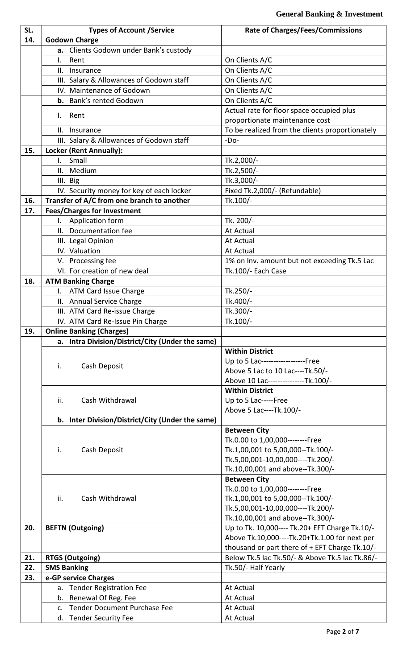| SL. | <b>Types of Account /Service</b>                   | <b>Rate of Charges/Fees/Commissions</b>         |
|-----|----------------------------------------------------|-------------------------------------------------|
| 14. | <b>Godown Charge</b>                               |                                                 |
|     |                                                    |                                                 |
|     | a. Clients Godown under Bank's custody             |                                                 |
|     | $\mathsf{L}$<br>Rent                               | On Clients A/C                                  |
|     | Ш.<br>Insurance                                    | On Clients A/C                                  |
|     | III. Salary & Allowances of Godown staff           | On Clients A/C                                  |
|     | IV. Maintenance of Godown                          | On Clients A/C                                  |
|     | b. Bank's rented Godown                            | On Clients A/C                                  |
|     | Rent<br>L.                                         | Actual rate for floor space occupied plus       |
|     |                                                    | proportionate maintenance cost                  |
|     | Ш.<br>Insurance                                    | To be realized from the clients proportionately |
|     | III. Salary & Allowances of Godown staff           | $-Do-$                                          |
| 15. | Locker (Rent Annually):                            |                                                 |
|     | Small<br>$\mathbf{L}$                              | Tk.2,000/-                                      |
|     | II. Medium                                         | Tk.2,500/-                                      |
|     | III. Big                                           | Tk.3,000/-                                      |
|     | IV. Security money for key of each locker          | Fixed Tk.2,000/- (Refundable)                   |
| 16. | Transfer of A/C from one branch to another         | Tk.100/-                                        |
| 17. | <b>Fees/Charges for Investment</b>                 |                                                 |
|     | I. Application form                                | Tk. 200/-                                       |
|     |                                                    |                                                 |
|     | II. Documentation fee                              | <b>At Actual</b>                                |
|     | III. Legal Opinion                                 | At Actual                                       |
|     | IV. Valuation                                      | At Actual                                       |
|     | V. Processing fee                                  | 1% on Inv. amount but not exceeding Tk.5 Lac    |
|     | VI. For creation of new deal                       | Tk.100/- Each Case                              |
| 18. | <b>ATM Banking Charge</b>                          |                                                 |
|     | I. ATM Card Issue Charge                           | Tk.250/-                                        |
|     | II. Annual Service Charge                          | Tk.400/-                                        |
|     | III. ATM Card Re-issue Charge                      | Tk.300/-                                        |
|     | IV. ATM Card Re-Issue Pin Charge                   | Tk.100/-                                        |
| 19. | <b>Online Banking (Charges)</b>                    |                                                 |
|     | a. Intra Division/District/City (Under the same)   |                                                 |
|     |                                                    | <b>Within District</b>                          |
|     |                                                    | Up to 5 Lac------------------Free               |
|     | Cash Deposit<br>i.                                 | Above 5 Lac to 10 Lac----Tk.50/-                |
|     |                                                    | Above 10 Lac---------------Tk.100/-             |
|     |                                                    | <b>Within District</b>                          |
|     | ii.<br>Cash Withdrawal                             | Up to 5 Lac-----Free                            |
|     |                                                    | Above 5 Lac----Tk.100/-                         |
|     | b. Inter Division/District/City (Under the same)   |                                                 |
|     |                                                    | <b>Between City</b>                             |
|     |                                                    | Tk.0.00 to 1,00,000--------Free                 |
|     | Cash Deposit<br>i.                                 | Tk.1,00,001 to 5,00,000--Tk.100/-               |
|     |                                                    | Tk.5,00,001-10,00,000----Tk.200/-               |
|     |                                                    | Tk.10,00,001 and above--Tk.300/-                |
|     |                                                    | <b>Between City</b>                             |
|     |                                                    | Tk.0.00 to 1,00,000--------Free                 |
|     | ii.<br>Cash Withdrawal                             | Tk.1,00,001 to 5,00,000--Tk.100/-               |
|     |                                                    | Tk.5,00,001-10,00,000----Tk.200/-               |
|     |                                                    | Tk.10,00,001 and above--Tk.300/-                |
| 20. | <b>BEFTN (Outgoing)</b>                            | Up to Tk. 10,000---- Tk.20+ EFT Charge Tk.10/-  |
|     |                                                    | Above Tk.10,000----Tk.20+Tk.1.00 for next per   |
|     |                                                    | thousand or part there of + EFT Charge Tk.10/-  |
| 21. | <b>RTGS (Outgoing)</b>                             | Below Tk.5 lac Tk.50/- & Above Tk.5 lac Tk.86/- |
| 22. |                                                    | Tk.50/- Half Yearly                             |
|     | <b>SMS Banking</b>                                 |                                                 |
| 23. | e-GP service Charges                               |                                                 |
|     | a. Tender Registration Fee                         | At Actual                                       |
|     | b. Renewal Of Reg. Fee                             | <b>At Actual</b>                                |
|     | <b>Tender Document Purchase Fee</b><br>$C_{\star}$ | At Actual                                       |
|     | d. Tender Security Fee                             | At Actual                                       |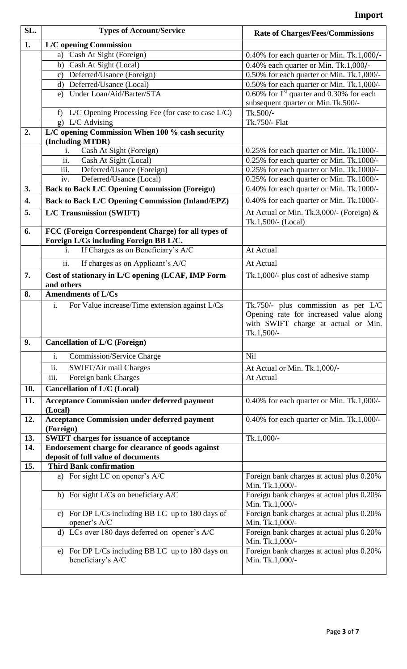| SL.              | <b>Types of Account/Service</b>                                                               | <b>Rate of Charges/Fees/Commissions</b>                                                                                              |
|------------------|-----------------------------------------------------------------------------------------------|--------------------------------------------------------------------------------------------------------------------------------------|
| $\overline{1}$ . | <b>L/C</b> opening Commission                                                                 |                                                                                                                                      |
|                  | Cash At Sight (Foreign)<br>a)                                                                 | $0.40\%$ for each quarter or Min. Tk.1,000/-                                                                                         |
|                  | Cash At Sight (Local)<br>b)                                                                   | $0.40\%$ each quarter or Min. Tk.1,000/-                                                                                             |
|                  | Deferred/Usance (Foreign)<br>$\mathbf{c}$ )                                                   | 0.50% for each quarter or Min. Tk.1,000/-                                                                                            |
|                  | d) Deferred/Usance (Local)                                                                    | 0.50% for each quarter or Min. Tk.1,000/-                                                                                            |
|                  | e) Under Loan/Aid/Barter/STA                                                                  | 0.60% for $1st$ quarter and 0.30% for each                                                                                           |
|                  |                                                                                               | subsequent quarter or Min.Tk.500/-                                                                                                   |
|                  | $L/C$ Opening Processing Fee (for case to case $L/C$ )<br>f                                   | Tk.500/-                                                                                                                             |
|                  | g) L/C Advising                                                                               | Tk.750/- Flat                                                                                                                        |
| 2.               | $\overline{L/C}$ opening Commission When 100 % cash security                                  |                                                                                                                                      |
|                  | (Including MTDR)                                                                              |                                                                                                                                      |
|                  | Cash At Sight (Foreign)<br>i.                                                                 | 0.25% for each quarter or Min. Tk.1000/-                                                                                             |
|                  | ii.<br>Cash At Sight (Local)                                                                  | 0.25% for each quarter or Min. Tk.1000/-                                                                                             |
|                  | iii.<br>Deferred/Usance (Foreign)                                                             | 0.25% for each quarter or Min. Tk.1000/-                                                                                             |
|                  | Deferred/Usance (Local)<br>iv.                                                                | 0.25% for each quarter or Min. Tk.1000/-                                                                                             |
| 3.               | <b>Back to Back L/C Opening Commission (Foreign)</b>                                          | 0.40% for each quarter or Min. Tk.1000/-                                                                                             |
| 4.               | <b>Back to Back L/C Opening Commission (Inland/EPZ)</b>                                       | 0.40% for each quarter or Min. Tk.1000/-                                                                                             |
| 5.               | <b>L/C Transmission (SWIFT)</b>                                                               | At Actual or Min. Tk.3,000/- (Foreign) $&$                                                                                           |
|                  |                                                                                               | Tk.1,500/- (Local)                                                                                                                   |
| 6.               | FCC (Foreign Correspondent Charge) for all types of<br>Foreign L/Cs including Foreign BB L/C. |                                                                                                                                      |
|                  | If Charges as on Beneficiary's A/C<br>i.                                                      | At Actual                                                                                                                            |
|                  | ii.<br>If charges as on Applicant's A/C                                                       | At Actual                                                                                                                            |
| 7.               | Cost of stationary in L/C opening (LCAF, IMP Form                                             | Tk.1,000/- plus cost of adhesive stamp                                                                                               |
|                  | and others                                                                                    |                                                                                                                                      |
| 8.               | <b>Amendments of L/Cs</b>                                                                     |                                                                                                                                      |
|                  | For Value increase/Time extension against L/Cs<br>i.                                          | Tk.750/- plus commission as per L/C<br>Opening rate for increased value along<br>with SWIFT charge at actual or Min.<br>$Tk.1,500/-$ |
| 9.               | <b>Cancellation of L/C (Foreign)</b>                                                          |                                                                                                                                      |
|                  | i.<br><b>Commission/Service Charge</b>                                                        | Nil                                                                                                                                  |
|                  | ii.<br>SWIFT/Air mail Charges                                                                 | At Actual or Min. Tk.1,000/-                                                                                                         |
|                  | iii.<br>Foreign bank Charges                                                                  | At Actual                                                                                                                            |
| 10.              | <b>Cancellation of L/C (Local)</b>                                                            |                                                                                                                                      |
| 11.              | <b>Acceptance Commission under deferred payment</b>                                           | 0.40% for each quarter or Min. Tk.1,000/-                                                                                            |
|                  | (Local)                                                                                       |                                                                                                                                      |
| 12.              | <b>Acceptance Commission under deferred payment</b><br>(Foreign)                              | 0.40% for each quarter or Min. Tk.1,000/-                                                                                            |
| 13.              | <b>SWIFT charges for issuance of acceptance</b>                                               | Tk.1,000/-                                                                                                                           |
| 14.              | Endorsement charge for clearance of goods against                                             |                                                                                                                                      |
|                  | deposit of full value of documents                                                            |                                                                                                                                      |
| 15.              | <b>Third Bank confirmation</b>                                                                |                                                                                                                                      |
|                  | a) For sight LC on opener's A/C                                                               | Foreign bank charges at actual plus 0.20%<br>Min. Tk.1,000/-                                                                         |
|                  | b) For sight L/Cs on beneficiary A/C                                                          | Foreign bank charges at actual plus 0.20%<br>Min. Tk.1,000/-                                                                         |
|                  | c) For DP L/Cs including BB LC up to $180$ days of<br>opener's A/C                            | Foreign bank charges at actual plus 0.20%<br>Min. Tk.1,000/-                                                                         |
|                  | d) LCs over 180 days deferred on opener's A/C                                                 | Foreign bank charges at actual plus 0.20%<br>Min. Tk.1,000/-                                                                         |
|                  | e) For DP L/Cs including BB LC up to 180 days on<br>beneficiary's A/C                         | Foreign bank charges at actual plus 0.20%<br>Min. Tk.1,000/-                                                                         |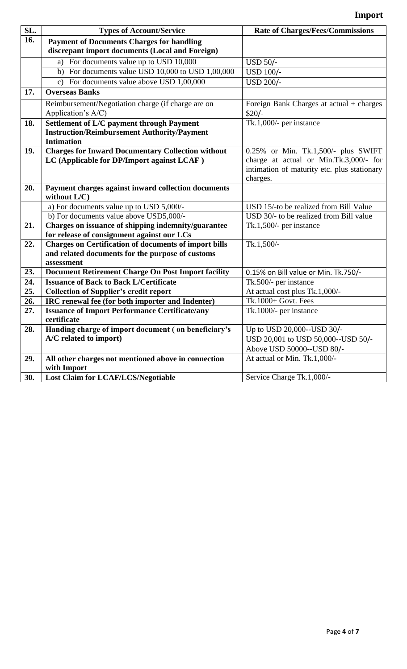| SL.        | <b>Types of Account/Service</b>                                                                            | <b>Rate of Charges/Fees/Commissions</b>                                               |
|------------|------------------------------------------------------------------------------------------------------------|---------------------------------------------------------------------------------------|
| 16.        | <b>Payment of Documents Charges for handling</b>                                                           |                                                                                       |
|            | discrepant import documents (Local and Foreign)                                                            |                                                                                       |
|            | For documents value up to USD 10,000<br>a)                                                                 | <b>USD 50/-</b>                                                                       |
|            | For documents value USD 10,000 to USD 1,00,000<br>b)                                                       | <b>USD 100/-</b>                                                                      |
|            | For documents value above USD 1,00,000<br>$\mathbf{c}$ )                                                   | <b>USD 200/-</b>                                                                      |
| 17.        | <b>Overseas Banks</b>                                                                                      |                                                                                       |
|            | Reimbursement/Negotiation charge (if charge are on                                                         | Foreign Bank Charges at $actual + charges$                                            |
|            | Application's A/C)                                                                                         | \$20/                                                                                 |
| 18.        | <b>Settlement of L/C payment through Payment</b>                                                           | Tk.1,000/- per instance                                                               |
|            | <b>Instruction/Reimbursement Authority/Payment</b>                                                         |                                                                                       |
|            | <b>Intimation</b>                                                                                          |                                                                                       |
| 19.        | <b>Charges for Inward Documentary Collection without</b>                                                   | 0.25% or Min. Tk.1,500/- plus SWIFT                                                   |
|            | LC (Applicable for DP/Import against LCAF)                                                                 | charge at actual or Min.Tk.3,000/- for<br>intimation of maturity etc. plus stationary |
|            |                                                                                                            | charges.                                                                              |
| 20.        | Payment charges against inward collection documents                                                        |                                                                                       |
|            | without $L/C$ )                                                                                            |                                                                                       |
|            | a) For documents value up to USD 5,000/-                                                                   | USD 15/-to be realized from Bill Value                                                |
|            | b) For documents value above USD5,000/-                                                                    | USD 30/- to be realized from Bill value                                               |
| 21.        | Charges on issuance of shipping indemnity/guarantee                                                        | Tk.1,500/- per instance                                                               |
|            | for release of consignment against our LCs                                                                 |                                                                                       |
| 22.        | <b>Charges on Certification of documents of import bills</b>                                               | Tk.1,500/-                                                                            |
|            | and related documents for the purpose of customs                                                           |                                                                                       |
|            | assessment                                                                                                 |                                                                                       |
| 23.        | <b>Document Retirement Charge On Post Import facility</b><br><b>Issuance of Back to Back L/Certificate</b> | 0.15% on Bill value or Min. Tk.750/-                                                  |
| 24.<br>25. |                                                                                                            | Tk.500/- per instance<br>At actual cost plus Tk.1,000/-                               |
| 26.        | <b>Collection of Supplier's credit report</b><br>IRC renewal fee (for both importer and Indenter)          | Tk.1000+ Govt. Fees                                                                   |
| 27.        | <b>Issuance of Import Performance Certificate/any</b>                                                      | Tk.1000/- per instance                                                                |
|            | certificate                                                                                                |                                                                                       |
| 28.        | Handing charge of import document (on beneficiary's                                                        | Up to USD 20,000--USD 30/-                                                            |
|            | A/C related to import)                                                                                     | USD 20,001 to USD 50,000--USD 50/-                                                    |
|            |                                                                                                            | Above USD 50000--USD 80/-                                                             |
| 29.        | All other charges not mentioned above in connection                                                        | At actual or Min. Tk.1,000/-                                                          |
|            | with Import                                                                                                |                                                                                       |
| 30.        | <b>Lost Claim for LCAF/LCS/Negotiable</b>                                                                  | Service Charge Tk.1,000/-                                                             |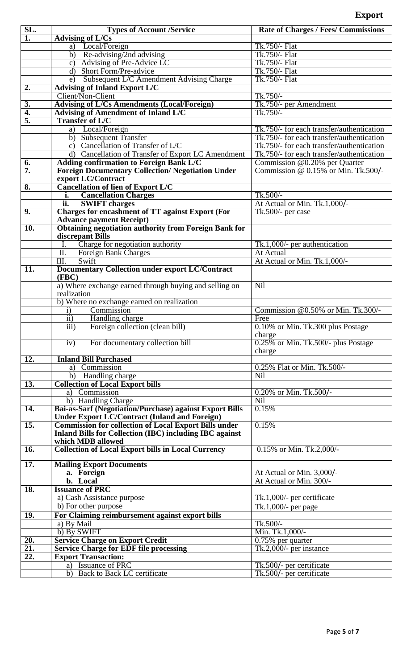| SL.               | <b>Types of Account /Service</b>                                | <b>Rate of Charges / Fees/ Commissions</b> |
|-------------------|-----------------------------------------------------------------|--------------------------------------------|
| $\overline{1}$ .  | <b>Advising of L/Cs</b>                                         |                                            |
|                   | a) Local/Foreign                                                | Tk.750/- Flat                              |
|                   | b) Re-advising/2nd advising                                     | Tk.750/- Flat                              |
|                   | Advising of Pre-Advice LC                                       | Tk.750/- Flat                              |
|                   | $\mathbf{c})$<br>$\overline{d}$<br><b>Short Form/Pre-advice</b> | Tk.750/- Flat                              |
|                   |                                                                 |                                            |
|                   | Subsequent L/C Amendment Advising Charge<br>e)                  | Tk.750/- Flat                              |
| 2.                | <b>Advising of Inland Export L/C</b>                            |                                            |
|                   | Client/Non-Client                                               | Tk.750/-                                   |
| 3.                | <b>Advising of L/Cs Amendments (Local/Foreign)</b>              | Tk.750/- per Amendment                     |
| 4.                | <b>Advising of Amendment of Inland L/C</b>                      | $Tk.750/-$                                 |
| 5.                | <b>Transfer of L/C</b>                                          |                                            |
|                   | Local/Foreign<br>a)                                             | Tk.750/- for each transfer/authentication  |
|                   | b) Subsequent Transfer                                          | Tk.750/- for each transfer/authentication  |
|                   | c) Cancellation of Transfer of $L/C$                            | Tk.750/- for each transfer/authentication  |
|                   | d) Cancellation of Transfer of Export LC Amendment              | Tk.750/- for each transfer/authentication  |
| 6.                | <b>Adding confirmation to Foreign Bank L/C</b>                  | Commission @0.20% per Quarter              |
| 7.                | <b>Foreign Documentary Collection/ Negotiation Under</b>        | Commission @ 0.15% or Min. Tk.500/-        |
|                   | export LC/Contract                                              |                                            |
| 8.                | <b>Cancellation of lien of Export L/C</b>                       |                                            |
|                   | i. Cancellation Charges                                         | Tk.500/-                                   |
|                   | ii.<br><b>SWIFT</b> charges                                     | At Actual or Min. Tk.1,000/-               |
| $\overline{9}$ .  | <b>Charges for encashment of TT against Export (For</b>         | Tk.500/- per case                          |
|                   | <b>Advance payment Receipt)</b>                                 |                                            |
| $\overline{10}$ . | <b>Obtaining negotiation authority from Foreign Bank for</b>    |                                            |
|                   | discrepant Bills                                                |                                            |
|                   | Charge for negotiation authority<br>L.                          | Tk.1,000/- per authentication              |
|                   |                                                                 | At Actual                                  |
|                   | Foreign Bank Charges<br>II.                                     |                                            |
|                   | Swift<br>$\overline{\text{III.}}$                               | At Actual or Min. Tk.1,000/-               |
| $\overline{11}$ . | <b>Documentary Collection under export LC/Contract</b>          |                                            |
|                   | (FBC)                                                           |                                            |
|                   | a) Where exchange earned through buying and selling on          | Nil                                        |
|                   | realization                                                     |                                            |
|                   | b) Where no exchange earned on realization                      |                                            |
|                   | Commission<br>$\mathbf{i}$                                      | Commission @0.50% or Min. Tk.300/-         |
|                   | $\overline{ii}$<br>Handling charge                              | Free                                       |
|                   | $\overline{iii}$<br>Foreign collection (clean bill)             | 0.10% or Min. Tk.300 plus Postage          |
|                   |                                                                 | charge                                     |
|                   | iv)<br>For documentary collection bill                          | 0.25% or Min. Tk.500/- plus Postage        |
|                   |                                                                 | charge                                     |
| $\overline{12}$ . | <b>Inland Bill Purchased</b>                                    |                                            |
|                   | a) Commission                                                   | 0.25% Flat or Min. Tk.500/-                |
|                   | b) Handling charge                                              | Nil                                        |
| $\overline{13}$ . | <b>Collection of Local Export bills</b>                         |                                            |
|                   | a) Commission                                                   | 0.20% or Min. Tk.500/-                     |
|                   | b) Handling Charge                                              | Nil                                        |
| $\overline{14}$ . | <b>Bai-as-Sarf (Negotiation/Purchase) against Export Bills</b>  | 0.15%                                      |
|                   | <b>Under Export LC/Contract (Inland and Foreign)</b>            |                                            |
| $\overline{15}$ . | <b>Commission for collection of Local Export Bills under</b>    | 0.15%                                      |
|                   | Inland Bills for Collection (IBC) including IBC against         |                                            |
|                   | which MDB allowed                                               |                                            |
| 16.               | <b>Collection of Local Export bills in Local Currency</b>       | 0.15% or Min. Tk.2,000/-                   |
|                   |                                                                 |                                            |
| $\overline{17}$ . | <b>Mailing Export Documents</b>                                 |                                            |
|                   | a. Foreign                                                      | At Actual or Min. 3,000/-                  |
|                   | b. Local                                                        | At Actual or Min. 300/-                    |
| 18.               | <b>Issuance of PRC</b>                                          |                                            |
|                   | $\overline{a}$ ) Cash Assistance purpose                        | Tk.1,000/- per certificate                 |
|                   | b) For other purpose                                            | Tk.1,000/- per page                        |
| 19.               | For Claiming reimbursement against export bills                 |                                            |
|                   | a) By Mail                                                      | $Tk.500/-$                                 |
|                   | b) By SWIFT                                                     | Min. Tk.1,000/-                            |
| 20.               | <b>Service Charge on Export Credit</b>                          | 0.75% per quarter                          |
| $\overline{21}$ . | <b>Service Charge for EDF file processing</b>                   | Tk.2,000/- per instance                    |
| 22.               | <b>Export Transaction:</b>                                      |                                            |
|                   | a) Issuance of PRC                                              | Tk.500/- per certificate                   |
|                   |                                                                 |                                            |
|                   | b) Back to Back LC certificate                                  | Tk.500/- per certificate                   |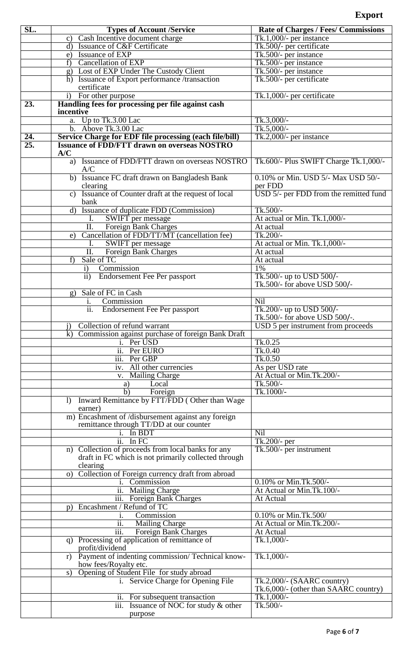| SL. | <b>Types of Account /Service</b>                                            | <b>Rate of Charges / Fees/ Commissions</b> |
|-----|-----------------------------------------------------------------------------|--------------------------------------------|
|     | c) Cash Incentive document charge                                           | $Tk.1,000/-$ per instance                  |
|     | d) Issuance of C&F Certificate                                              | Tk.500/- per certificate                   |
|     | e) Issuance of EXP                                                          | Tk.500/- per instance                      |
|     | f) Cancellation of EXP                                                      | Tk.500/- per instance                      |
|     | g) Lost of EXP Under The Custody Client                                     | Tk.500/- per instance                      |
|     | h) Issuance of Export performance /transaction                              | Tk.500/- per certificate                   |
|     | certificate                                                                 |                                            |
|     | i) For other purpose                                                        | Tk.1,000/- per certificate                 |
| 23. | Handling fees for processing per file against cash<br>incentive             |                                            |
|     | Up to Tk.3.00 Lac<br>a.                                                     | Tk.3,000/-                                 |
|     | Above Tk.3.00 Lac<br>$\mathbf{b}$ .                                         | $Tk.5,000/-$                               |
| 24. | Service Charge for EDF file processing (each file/bill)                     | Tk.2,000/- per instance                    |
| 25. | <b>Issuance of FDD/FTT drawn on overseas NOSTRO</b>                         |                                            |
|     | A/C                                                                         |                                            |
|     | a) Issuance of FDD/FTT drawn on overseas NOSTRO                             | Tk.600/- Plus SWIFT Charge Tk.1,000/-      |
|     | A/C                                                                         |                                            |
|     | b) Issuance FC draft drawn on Bangladesh Bank                               | 0.10% or Min. USD 5/- Max USD 50/-         |
|     | clearing                                                                    | per FDD                                    |
|     | Issuance of Counter draft at the request of local<br>$\mathbf{c}$ )<br>bank | USD 5/- per FDD from the remitted fund     |
|     | Issuance of duplicate FDD (Commission)<br>$\mathbf{d}$                      | $Tk.500/-$                                 |
|     | SWIFT per message<br>I.                                                     | At actual or Min. Tk.1,000/-               |
|     | $\overline{\text{II}}$ .<br>Foreign Bank Charges                            | At actual                                  |
|     | Cancellation of FDD/TT/MT (cancellation fee)<br>e)                          | Tk.200/-                                   |
|     | SWIFT per message                                                           | At actual or Min. Tk.1,000/-               |
|     | ĪĪ.<br>Foreign Bank Charges                                                 | At actual                                  |
|     | Sale of TC<br>f)                                                            | At actual                                  |
|     | Commission<br>$\mathbf{i}$                                                  | 1%                                         |
|     | ii) Endorsement Fee Per passport                                            | Tk.500/- up to USD 500/-                   |
|     |                                                                             | Tk.500/- for above USD 500/-               |
|     | g) Sale of FC in Cash                                                       |                                            |
|     | Commission<br>i.                                                            | Nil                                        |
|     | $\overline{ii}$ .<br><b>Endorsement Fee Per passport</b>                    | Tk.200/- up to USD 500/-                   |
|     |                                                                             | Tk.500/- for above USD 500/-.              |
|     | Collection of refund warrant<br>$\mathbf{1}$                                | USD 5 per instrument from proceeds         |
|     | k) Commission against purchase of foreign Bank Draft<br>i. Per USD          | Tk.0.25                                    |
|     | ii. Per EURO                                                                | Tk.0.40                                    |
|     | iii. Per GBP                                                                | Tk.0.50                                    |
|     | iv. All other currencies                                                    | As per USD rate                            |
|     | v. Mailing Charge                                                           | At Actual or Min.Tk.200/-                  |
|     | Local<br>a)                                                                 | Tk.500/-                                   |
|     | b)<br>Foreign                                                               | Tk.1000/-                                  |
|     | Inward Remittance by FTT/FDD (Other than Wage<br>$\Gamma$                   |                                            |
|     | earner)                                                                     |                                            |
|     | m) Encashment of /disbursement against any foreign                          |                                            |
|     | remittance through TT/DD at our counter                                     |                                            |
|     | i. In BDT                                                                   | Nil                                        |
|     | ii. In FC                                                                   | Tk.200/- per                               |
|     | n) Collection of proceeds from local banks for any                          | Tk.500/- per instrument                    |
|     | draft in FC which is not primarily collected through<br>clearing            |                                            |
|     | o) Collection of Foreign currency draft from abroad                         |                                            |
|     | i. Commission                                                               | 0.10% or Min.Tk.500/-                      |
|     | ii. Mailing Charge                                                          | At Actual or Min.Tk.100/-                  |
|     | iii. Foreign Bank Charges                                                   | At Actual                                  |
|     | p) Encashment / Refund of TC                                                |                                            |
|     | Commission                                                                  | 0.10% or Min.Tk.500/                       |
|     | <b>Mailing Charge</b><br>$\overline{11}$ .                                  | At Actual or Min.Tk.200/-                  |
|     | iii.<br>Foreign Bank Charges                                                | At Actual                                  |
|     | q) Processing of application of remittance of                               | Tk.1,000/-                                 |
|     | profit/dividend                                                             |                                            |
|     | Payment of indenting commission/Technical know-<br>r)                       | Tk.1,000/-                                 |
|     | how fees/Royalty etc.<br>Opening of Student File for study abroad<br>s)     |                                            |
|     | i. Service Charge for Opening File                                          | Tk.2,000/- $(SAARC country)$               |
|     |                                                                             | Tk.6,000/- (other than SAARC country)      |
|     | ii. For subsequent transaction                                              | $Tk.1,000/-$                               |
|     | iii.<br>Issuance of NOC for study & other                                   | Tk.500/-                                   |
|     | purpose                                                                     |                                            |